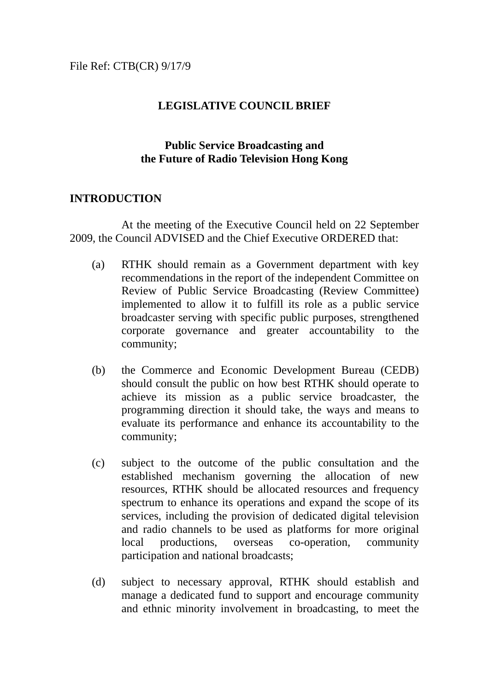# **LEGISLATIVE COUNCIL BRIEF**

### **Public Service Broadcasting and the Future of Radio Television Hong Kong**

### **INTRODUCTION**

At the meeting of the Executive Council held on 22 September 2009, the Council ADVISED and the Chief Executive ORDERED that:

- (a) RTHK should remain as a Government department with key recommendations in the report of the independent Committee on Review of Public Service Broadcasting (Review Committee) implemented to allow it to fulfill its role as a public service broadcaster serving with specific public purposes, strengthened corporate governance and greater accountability to the community;
- (b) the Commerce and Economic Development Bureau (CEDB) should consult the public on how best RTHK should operate to achieve its mission as a public service broadcaster, the programming direction it should take, the ways and means to evaluate its performance and enhance its accountability to the community;
- (c) subject to the outcome of the public consultation and the established mechanism governing the allocation of new resources, RTHK should be allocated resources and frequency spectrum to enhance its operations and expand the scope of its services, including the provision of dedicated digital television and radio channels to be used as platforms for more original local productions, overseas co-operation, community participation and national broadcasts;
- (d) subject to necessary approval, RTHK should establish and manage a dedicated fund to support and encourage community and ethnic minority involvement in broadcasting, to meet the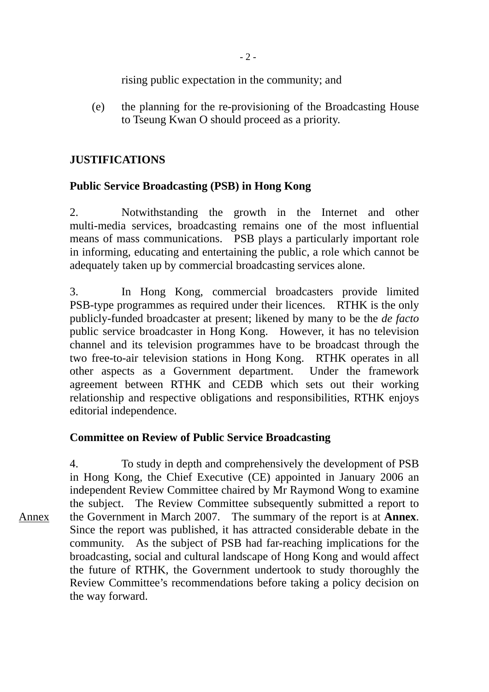rising public expectation in the community; and

(e) the planning for the re-provisioning of the Broadcasting House to Tseung Kwan O should proceed as a priority.

# **JUSTIFICATIONS**

# **Public Service Broadcasting (PSB) in Hong Kong**

2. Notwithstanding the growth in the Internet and other multi-media services, broadcasting remains one of the most influential means of mass communications. PSB plays a particularly important role in informing, educating and entertaining the public, a role which cannot be adequately taken up by commercial broadcasting services alone.

3. In Hong Kong, commercial broadcasters provide limited PSB-type programmes as required under their licences. RTHK is the only publicly-funded broadcaster at present; likened by many to be the *de facto* public service broadcaster in Hong Kong. However, it has no television channel and its television programmes have to be broadcast through the two free-to-air television stations in Hong Kong. RTHK operates in all other aspects as a Government department. Under the framework agreement between RTHK and CEDB which sets out their working relationship and respective obligations and responsibilities, RTHK enjoys editorial independence.

# **Committee on Review of Public Service Broadcasting**

4. To study in depth and comprehensively the development of PSB in Hong Kong, the Chief Executive (CE) appointed in January 2006 an independent Review Committee chaired by Mr Raymond Wong to examine the subject. The Review Committee subsequently submitted a report to the Government in March 2007. The summary of the report is at **Annex**. Since the report was published, it has attracted considerable debate in the community. As the subject of PSB had far-reaching implications for the broadcasting, social and cultural landscape of Hong Kong and would affect the future of RTHK, the Government undertook to study thoroughly the Review Committee's recommendations before taking a policy decision on the way forward. Annex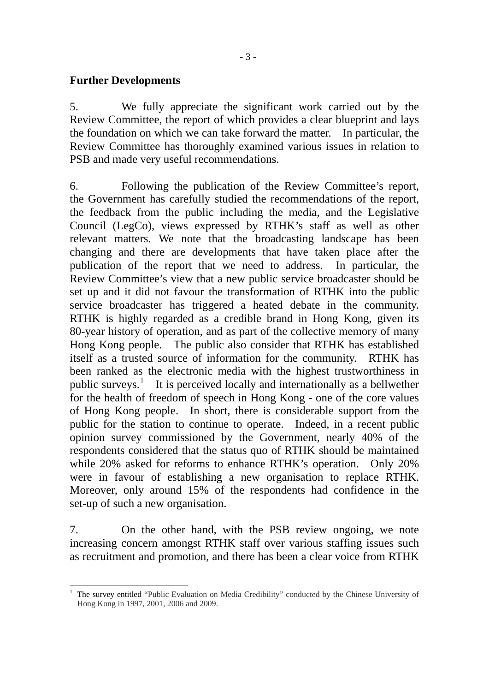5. We fully appreciate the significant work carried out by the Review Committee, the report of which provides a clear blueprint and lays the foundation on which we can take forward the matter. In particular, the Review Committee has thoroughly examined various issues in relation to PSB and made very useful recommendations.

6. Following the publication of the Review Committee's report, the Government has carefully studied the recommendations of the report, the feedback from the public including the media, and the Legislative Council (LegCo), views expressed by RTHK's staff as well as other relevant matters. We note that the broadcasting landscape has been changing and there are developments that have taken place after the publication of the report that we need to address. In particular, the Review Committee's view that a new public service broadcaster should be set up and it did not favour the transformation of RTHK into the public service broadcaster has triggered a heated debate in the community. RTHK is highly regarded as a credible brand in Hong Kong, given its 80-year history of operation, and as part of the collective memory of many Hong Kong people. The public also consider that RTHK has established itself as a trusted source of information for the community. RTHK has been ranked as the electronic media with the highest trustworthiness in public surveys.<sup>[1](#page-2-0)</sup> It is perceived locally and internationally as a bellwether for the health of freedom of speech in Hong Kong - one of the core values of Hong Kong people. In short, there is considerable support from the public for the station to continue to operate. Indeed, in a recent public opinion survey commissioned by the Government, nearly 40% of the respondents considered that the status quo of RTHK should be maintained while 20% asked for reforms to enhance RTHK's operation. Only 20% were in favour of establishing a new organisation to replace RTHK. Moreover, only around 15% of the respondents had confidence in the set-up of such a new organisation.

7. On the other hand, with the PSB review ongoing, we note increasing concern amongst RTHK staff over various staffing issues such as recruitment and promotion, and there has been a clear voice from RTHK

<span id="page-2-0"></span> $\overline{a}$ 1 The survey entitled "Public Evaluation on Media Credibility" conducted by the Chinese University of Hong Kong in 1997, 2001, 2006 and 2009.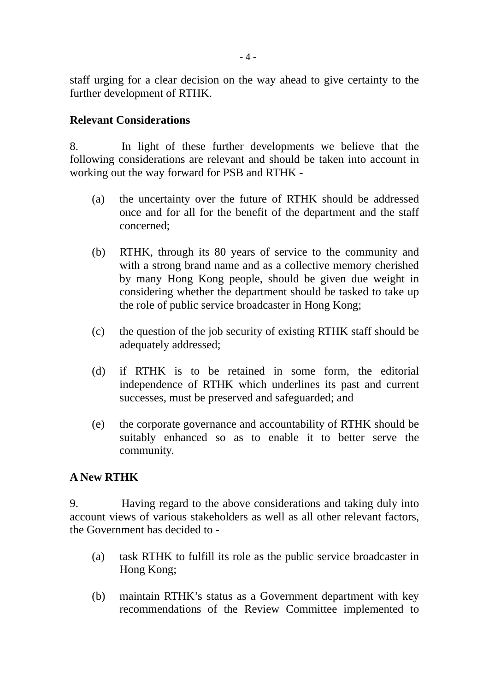staff urging for a clear decision on the way ahead to give certainty to the further development of RTHK.

### **Relevant Considerations**

8. In light of these further developments we believe that the following considerations are relevant and should be taken into account in working out the way forward for PSB and RTHK -

- (a) the uncertainty over the future of RTHK should be addressed once and for all for the benefit of the department and the staff concerned;
- (b) RTHK, through its 80 years of service to the community and with a strong brand name and as a collective memory cherished by many Hong Kong people, should be given due weight in considering whether the department should be tasked to take up the role of public service broadcaster in Hong Kong;
- (c) the question of the job security of existing RTHK staff should be adequately addressed;
- (d) if RTHK is to be retained in some form, the editorial independence of RTHK which underlines its past and current successes, must be preserved and safeguarded; and
- (e) the corporate governance and accountability of RTHK should be suitably enhanced so as to enable it to better serve the community.

# **A New RTHK**

9. Having regard to the above considerations and taking duly into account views of various stakeholders as well as all other relevant factors, the Government has decided to -

- (a) task RTHK to fulfill its role as the public service broadcaster in Hong Kong;
- (b) maintain RTHK's status as a Government department with key recommendations of the Review Committee implemented to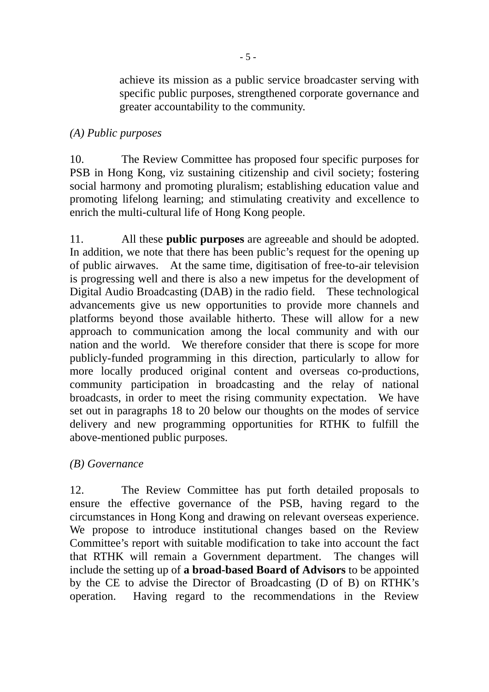achieve its mission as a public service broadcaster serving with specific public purposes, strengthened corporate governance and greater accountability to the community.

### *(A) Public purposes*

10. The Review Committee has proposed four specific purposes for PSB in Hong Kong, viz sustaining citizenship and civil society; fostering social harmony and promoting pluralism; establishing education value and promoting lifelong learning; and stimulating creativity and excellence to enrich the multi-cultural life of Hong Kong people.

11. All these **public purposes** are agreeable and should be adopted. In addition, we note that there has been public's request for the opening up of public airwaves. At the same time, digitisation of free-to-air television is progressing well and there is also a new impetus for the development of Digital Audio Broadcasting (DAB) in the radio field. These technological advancements give us new opportunities to provide more channels and platforms beyond those available hitherto. These will allow for a new approach to communication among the local community and with our nation and the world. We therefore consider that there is scope for more publicly-funded programming in this direction, particularly to allow for more locally produced original content and overseas co-productions, community participation in broadcasting and the relay of national broadcasts, in order to meet the rising community expectation. We have set out in paragraphs 18 to 20 below our thoughts on the modes of service delivery and new programming opportunities for RTHK to fulfill the above-mentioned public purposes.

# *(B) Governance*

12. The Review Committee has put forth detailed proposals to ensure the effective governance of the PSB, having regard to the circumstances in Hong Kong and drawing on relevant overseas experience. We propose to introduce institutional changes based on the Review Committee's report with suitable modification to take into account the fact that RTHK will remain a Government department. The changes will include the setting up of **a broad-based Board of Advisors** to be appointed by the CE to advise the Director of Broadcasting (D of B) on RTHK's operation. Having regard to the recommendations in the Review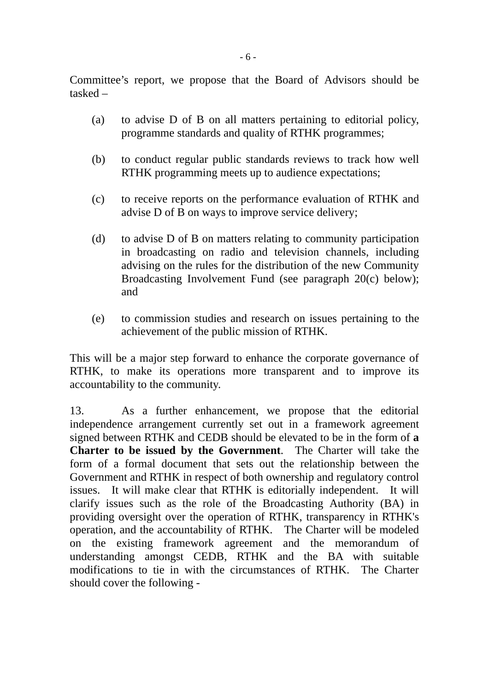Committee's report, we propose that the Board of Advisors should be tasked –

- (a) to advise D of B on all matters pertaining to editorial policy, programme standards and quality of RTHK programmes;
- (b) to conduct regular public standards reviews to track how well RTHK programming meets up to audience expectations;
- (c) to receive reports on the performance evaluation of RTHK and advise D of B on ways to improve service delivery;
- (d) to advise D of B on matters relating to community participation in broadcasting on radio and television channels, including advising on the rules for the distribution of the new Community Broadcasting Involvement Fund (see paragraph 20(c) below); and
- (e) to commission studies and research on issues pertaining to the achievement of the public mission of RTHK.

This will be a major step forward to enhance the corporate governance of RTHK, to make its operations more transparent and to improve its accountability to the community.

13. As a further enhancement, we propose that the editorial independence arrangement currently set out in a framework agreement signed between RTHK and CEDB should be elevated to be in the form of **a Charter to be issued by the Government**. The Charter will take the form of a formal document that sets out the relationship between the Government and RTHK in respect of both ownership and regulatory control issues. It will make clear that RTHK is editorially independent. It will clarify issues such as the role of the Broadcasting Authority (BA) in providing oversight over the operation of RTHK, transparency in RTHK's operation, and the accountability of RTHK. The Charter will be modeled on the existing framework agreement and the memorandum of understanding amongst CEDB, RTHK and the BA with suitable modifications to tie in with the circumstances of RTHK. The Charter should cover the following -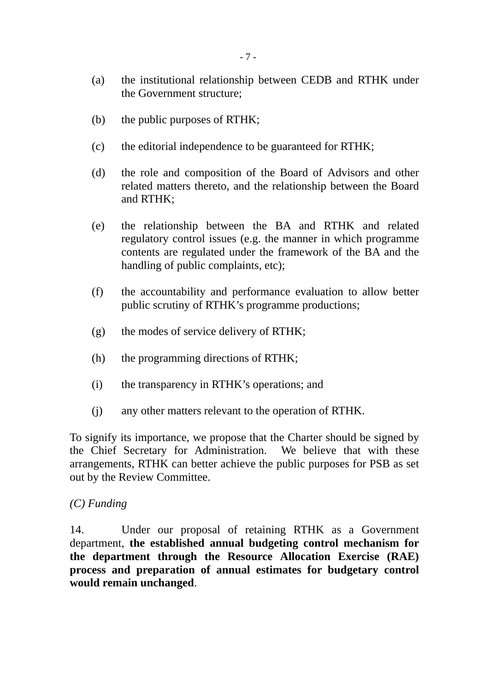- (a) the institutional relationship between CEDB and RTHK under the Government structure;
- (b) the public purposes of RTHK;
- (c) the editorial independence to be guaranteed for RTHK;
- (d) the role and composition of the Board of Advisors and other related matters thereto, and the relationship between the Board and RTHK;
- (e) the relationship between the BA and RTHK and related regulatory control issues (e.g. the manner in which programme contents are regulated under the framework of the BA and the handling of public complaints, etc);
- (f) the accountability and performance evaluation to allow better public scrutiny of RTHK's programme productions;
- (g) the modes of service delivery of RTHK;
- (h) the programming directions of RTHK;
- (i) the transparency in RTHK's operations; and
- (j) any other matters relevant to the operation of RTHK.

To signify its importance, we propose that the Charter should be signed by the Chief Secretary for Administration. We believe that with these arrangements, RTHK can better achieve the public purposes for PSB as set out by the Review Committee.

#### *(C) Funding*

14. Under our proposal of retaining RTHK as a Government department, **the established annual budgeting control mechanism for the department through the Resource Allocation Exercise (RAE) process and preparation of annual estimates for budgetary control would remain unchanged**.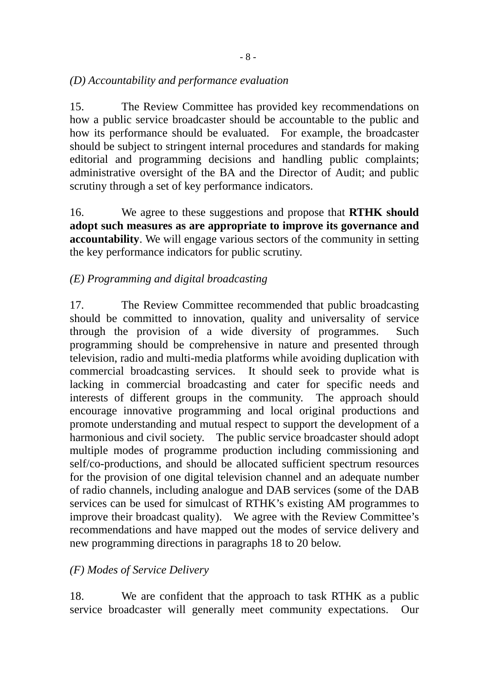### *(D) Accountability and performance evaluation*

15. The Review Committee has provided key recommendations on how a public service broadcaster should be accountable to the public and how its performance should be evaluated. For example, the broadcaster should be subject to stringent internal procedures and standards for making editorial and programming decisions and handling public complaints; administrative oversight of the BA and the Director of Audit; and public scrutiny through a set of key performance indicators.

16. We agree to these suggestions and propose that **RTHK should adopt such measures as are appropriate to improve its governance and accountability**. We will engage various sectors of the community in setting the key performance indicators for public scrutiny.

### *(E) Programming and digital broadcasting*

17. The Review Committee recommended that public broadcasting should be committed to innovation, quality and universality of service through the provision of a wide diversity of programmes. Such programming should be comprehensive in nature and presented through television, radio and multi-media platforms while avoiding duplication with commercial broadcasting services. It should seek to provide what is lacking in commercial broadcasting and cater for specific needs and interests of different groups in the community. The approach should encourage innovative programming and local original productions and promote understanding and mutual respect to support the development of a harmonious and civil society. The public service broadcaster should adopt multiple modes of programme production including commissioning and self/co-productions, and should be allocated sufficient spectrum resources for the provision of one digital television channel and an adequate number of radio channels, including analogue and DAB services (some of the DAB services can be used for simulcast of RTHK's existing AM programmes to improve their broadcast quality). We agree with the Review Committee's recommendations and have mapped out the modes of service delivery and new programming directions in paragraphs 18 to 20 below.

### *(F) Modes of Service Delivery*

18. We are confident that the approach to task RTHK as a public service broadcaster will generally meet community expectations. Our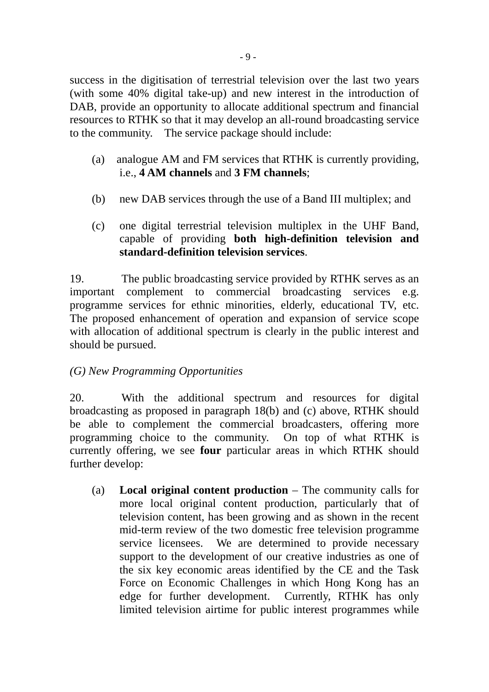success in the digitisation of terrestrial television over the last two years (with some 40% digital take-up) and new interest in the introduction of DAB, provide an opportunity to allocate additional spectrum and financial resources to RTHK so that it may develop an all-round broadcasting service to the community. The service package should include:

- (a) analogue AM and FM services that RTHK is currently providing, i.e., **4 AM channels** and **3 FM channels**;
- (b) new DAB services through the use of a Band III multiplex; and
- (c) one digital terrestrial television multiplex in the UHF Band, capable of providing **both high-definition television and standard-definition television services**.

19. The public broadcasting service provided by RTHK serves as an important complement to commercial broadcasting services e.g. programme services for ethnic minorities, elderly, educational TV, etc. The proposed enhancement of operation and expansion of service scope with allocation of additional spectrum is clearly in the public interest and should be pursued.

# *(G) New Programming Opportunities*

20. With the additional spectrum and resources for digital broadcasting as proposed in paragraph 18(b) and (c) above, RTHK should be able to complement the commercial broadcasters, offering more programming choice to the community. On top of what RTHK is currently offering, we see **four** particular areas in which RTHK should further develop:

(a) **Local original content production** – The community calls for more local original content production, particularly that of television content, has been growing and as shown in the recent mid-term review of the two domestic free television programme service licensees. We are determined to provide necessary support to the development of our creative industries as one of the six key economic areas identified by the CE and the Task Force on Economic Challenges in which Hong Kong has an edge for further development. Currently, RTHK has only limited television airtime for public interest programmes while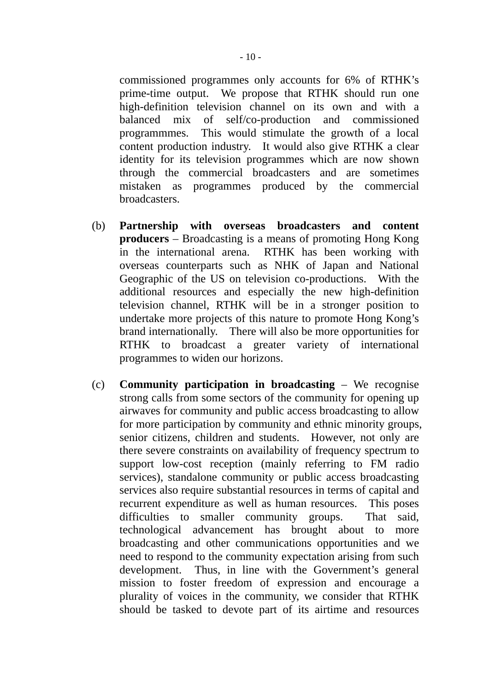commissioned programmes only accounts for 6% of RTHK's prime-time output. We propose that RTHK should run one high-definition television channel on its own and with a balanced mix of self/co-production and commissioned programmmes. This would stimulate the growth of a local content production industry. It would also give RTHK a clear identity for its television programmes which are now shown through the commercial broadcasters and are sometimes mistaken as programmes produced by the commercial broadcasters.

- (b) **Partnership with overseas broadcasters and content producers** – Broadcasting is a means of promoting Hong Kong in the international arena. RTHK has been working with overseas counterparts such as NHK of Japan and National Geographic of the US on television co-productions. With the additional resources and especially the new high-definition television channel, RTHK will be in a stronger position to undertake more projects of this nature to promote Hong Kong's brand internationally. There will also be more opportunities for RTHK to broadcast a greater variety of international programmes to widen our horizons.
- (c) **Community participation in broadcasting**  We recognise strong calls from some sectors of the community for opening up airwaves for community and public access broadcasting to allow for more participation by community and ethnic minority groups, senior citizens, children and students. However, not only are there severe constraints on availability of frequency spectrum to support low-cost reception (mainly referring to FM radio services), standalone community or public access broadcasting services also require substantial resources in terms of capital and recurrent expenditure as well as human resources. This poses difficulties to smaller community groups. That said, technological advancement has brought about to more broadcasting and other communications opportunities and we need to respond to the community expectation arising from such development. Thus, in line with the Government's general mission to foster freedom of expression and encourage a plurality of voices in the community, we consider that RTHK should be tasked to devote part of its airtime and resources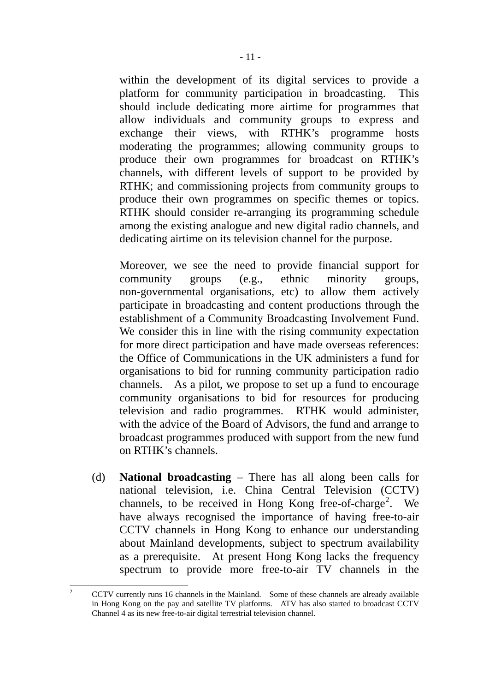within the development of its digital services to provide a platform for community participation in broadcasting. This should include dedicating more airtime for programmes that allow individuals and community groups to express and exchange their views, with RTHK's programme hosts moderating the programmes; allowing community groups to produce their own programmes for broadcast on RTHK's channels, with different levels of support to be provided by RTHK; and commissioning projects from community groups to produce their own programmes on specific themes or topics. RTHK should consider re-arranging its programming schedule among the existing analogue and new digital radio channels, and dedicating airtime on its television channel for the purpose.

 Moreover, we see the need to provide financial support for community groups (e.g., ethnic minority groups, non-governmental organisations, etc) to allow them actively participate in broadcasting and content productions through the establishment of a Community Broadcasting Involvement Fund. We consider this in line with the rising community expectation for more direct participation and have made overseas references: the Office of Communications in the UK administers a fund for organisations to bid for running community participation radio channels. As a pilot, we propose to set up a fund to encourage community organisations to bid for resources for producing television and radio programmes. RTHK would administer, with the advice of the Board of Advisors, the fund and arrange to broadcast programmes produced with support from the new fund on RTHK's channels.

(d) **National broadcasting** – There has all along been calls for national television, i.e. China Central Television (CCTV) channels, to be received in Hong Kong free-of-charge<sup>[2](#page-10-0)</sup>. We have always recognised the importance of having free-to-air CCTV channels in Hong Kong to enhance our understanding about Mainland developments, subject to spectrum availability as a prerequisite. At present Hong Kong lacks the frequency spectrum to provide more free-to-air TV channels in the

<span id="page-10-0"></span> $\frac{1}{2}$  CCTV currently runs 16 channels in the Mainland. Some of these channels are already available in Hong Kong on the pay and satellite TV platforms. ATV has also started to broadcast CCTV Channel 4 as its new free-to-air digital terrestrial television channel.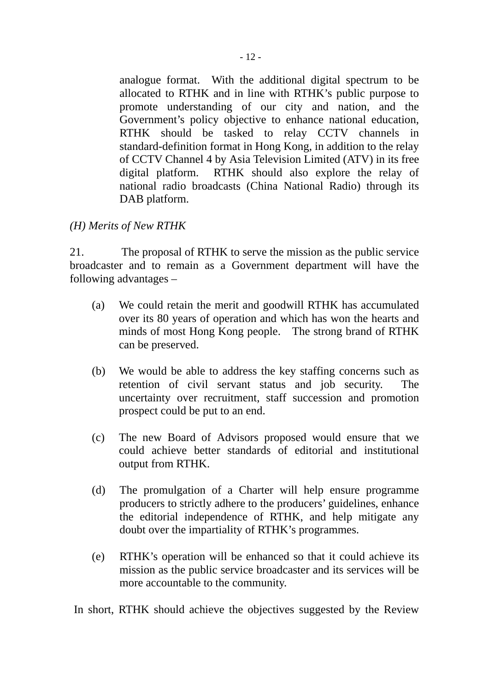analogue format. With the additional digital spectrum to be allocated to RTHK and in line with RTHK's public purpose to promote understanding of our city and nation, and the Government's policy objective to enhance national education, RTHK should be tasked to relay CCTV channels in standard-definition format in Hong Kong, in addition to the relay of CCTV Channel 4 by Asia Television Limited (ATV) in its free digital platform. RTHK should also explore the relay of national radio broadcasts (China National Radio) through its DAB platform.

*(H) Merits of New RTHK* 

21. The proposal of RTHK to serve the mission as the public service broadcaster and to remain as a Government department will have the following advantages –

- (a) We could retain the merit and goodwill RTHK has accumulated over its 80 years of operation and which has won the hearts and minds of most Hong Kong people. The strong brand of RTHK can be preserved.
- (b) We would be able to address the key staffing concerns such as retention of civil servant status and job security. The uncertainty over recruitment, staff succession and promotion prospect could be put to an end.
- (c) The new Board of Advisors proposed would ensure that we could achieve better standards of editorial and institutional output from RTHK.
- (d) The promulgation of a Charter will help ensure programme producers to strictly adhere to the producers' guidelines, enhance the editorial independence of RTHK, and help mitigate any doubt over the impartiality of RTHK's programmes.
- (e) RTHK's operation will be enhanced so that it could achieve its mission as the public service broadcaster and its services will be more accountable to the community.

In short, RTHK should achieve the objectives suggested by the Review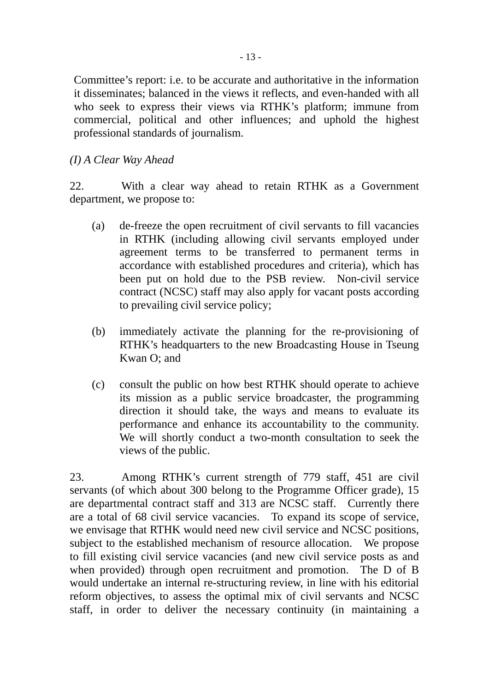Committee's report: i.e. to be accurate and authoritative in the information it disseminates; balanced in the views it reflects, and even-handed with all who seek to express their views via RTHK's platform; immune from commercial, political and other influences; and uphold the highest professional standards of journalism.

#### *(I) A Clear Way Ahead*

22. With a clear way ahead to retain RTHK as a Government department, we propose to:

- (a) de-freeze the open recruitment of civil servants to fill vacancies in RTHK (including allowing civil servants employed under agreement terms to be transferred to permanent terms in accordance with established procedures and criteria), which has been put on hold due to the PSB review. Non-civil service contract (NCSC) staff may also apply for vacant posts according to prevailing civil service policy;
- (b) immediately activate the planning for the re-provisioning of RTHK's headquarters to the new Broadcasting House in Tseung Kwan O; and
- (c) consult the public on how best RTHK should operate to achieve its mission as a public service broadcaster, the programming direction it should take, the ways and means to evaluate its performance and enhance its accountability to the community. We will shortly conduct a two-month consultation to seek the views of the public.

23. Among RTHK's current strength of 779 staff, 451 are civil servants (of which about 300 belong to the Programme Officer grade), 15 are departmental contract staff and 313 are NCSC staff. Currently there are a total of 68 civil service vacancies. To expand its scope of service, we envisage that RTHK would need new civil service and NCSC positions, subject to the established mechanism of resource allocation. We propose to fill existing civil service vacancies (and new civil service posts as and when provided) through open recruitment and promotion. The D of B would undertake an internal re-structuring review, in line with his editorial reform objectives, to assess the optimal mix of civil servants and NCSC staff, in order to deliver the necessary continuity (in maintaining a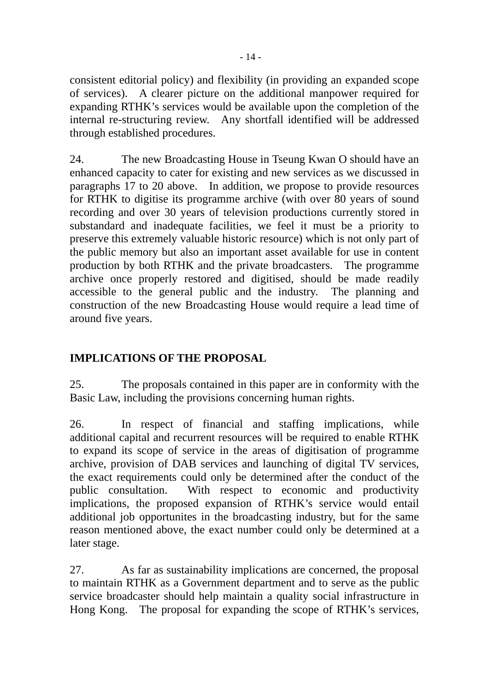consistent editorial policy) and flexibility (in providing an expanded scope of services). A clearer picture on the additional manpower required for expanding RTHK's services would be available upon the completion of the internal re-structuring review. Any shortfall identified will be addressed through established procedures.

24. The new Broadcasting House in Tseung Kwan O should have an enhanced capacity to cater for existing and new services as we discussed in paragraphs 17 to 20 above. In addition, we propose to provide resources for RTHK to digitise its programme archive (with over 80 years of sound recording and over 30 years of television productions currently stored in substandard and inadequate facilities, we feel it must be a priority to preserve this extremely valuable historic resource) which is not only part of the public memory but also an important asset available for use in content production by both RTHK and the private broadcasters. The programme archive once properly restored and digitised, should be made readily accessible to the general public and the industry. The planning and construction of the new Broadcasting House would require a lead time of around five years.

# **IMPLICATIONS OF THE PROPOSAL**

25. The proposals contained in this paper are in conformity with the Basic Law, including the provisions concerning human rights.

26. In respect of financial and staffing implications, while additional capital and recurrent resources will be required to enable RTHK to expand its scope of service in the areas of digitisation of programme archive, provision of DAB services and launching of digital TV services, the exact requirements could only be determined after the conduct of the public consultation. With respect to economic and productivity implications, the proposed expansion of RTHK's service would entail additional job opportunites in the broadcasting industry, but for the same reason mentioned above, the exact number could only be determined at a later stage.

27. As far as sustainability implications are concerned, the proposal to maintain RTHK as a Government department and to serve as the public service broadcaster should help maintain a quality social infrastructure in Hong Kong. The proposal for expanding the scope of RTHK's services,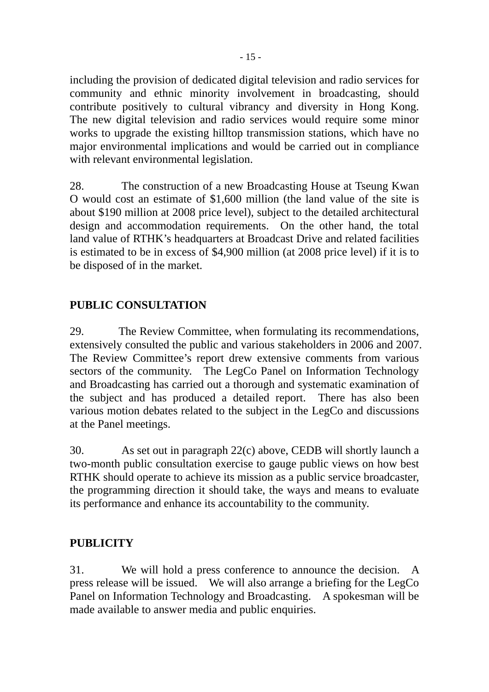including the provision of dedicated digital television and radio services for community and ethnic minority involvement in broadcasting, should contribute positively to cultural vibrancy and diversity in Hong Kong. The new digital television and radio services would require some minor works to upgrade the existing hilltop transmission stations, which have no major environmental implications and would be carried out in compliance with relevant environmental legislation.

28. The construction of a new Broadcasting House at Tseung Kwan O would cost an estimate of \$1,600 million (the land value of the site is about \$190 million at 2008 price level), subject to the detailed architectural design and accommodation requirements. On the other hand, the total land value of RTHK's headquarters at Broadcast Drive and related facilities is estimated to be in excess of \$4,900 million (at 2008 price level) if it is to be disposed of in the market.

# **PUBLIC CONSULTATION**

29. The Review Committee, when formulating its recommendations, extensively consulted the public and various stakeholders in 2006 and 2007. The Review Committee's report drew extensive comments from various sectors of the community. The LegCo Panel on Information Technology and Broadcasting has carried out a thorough and systematic examination of the subject and has produced a detailed report. There has also been various motion debates related to the subject in the LegCo and discussions at the Panel meetings.

30. As set out in paragraph 22(c) above, CEDB will shortly launch a two-month public consultation exercise to gauge public views on how best RTHK should operate to achieve its mission as a public service broadcaster, the programming direction it should take, the ways and means to evaluate its performance and enhance its accountability to the community.

# **PUBLICITY**

31. We will hold a press conference to announce the decision. A press release will be issued. We will also arrange a briefing for the LegCo Panel on Information Technology and Broadcasting. A spokesman will be made available to answer media and public enquiries.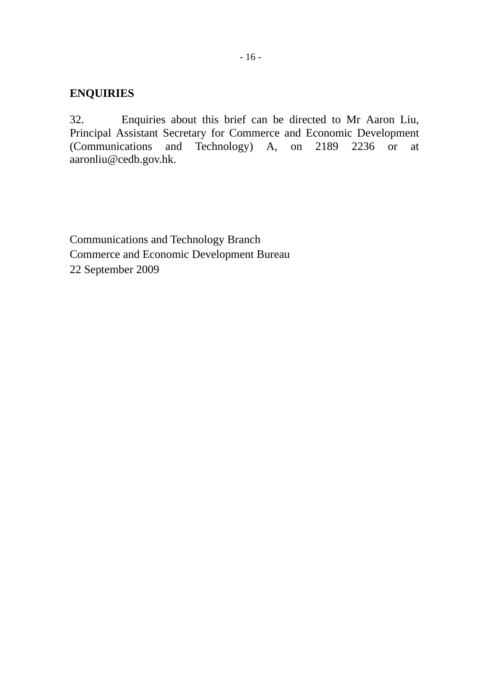### **ENQUIRIES**

32. Enquiries about this brief can be directed to Mr Aaron Liu, Principal Assistant Secretary for Commerce and Economic Development (Communications and Technology) A, on 2189 2236 or at aaronliu@cedb.gov.hk.

Communications and Technology Branch Commerce and Economic Development Bureau 22 September 2009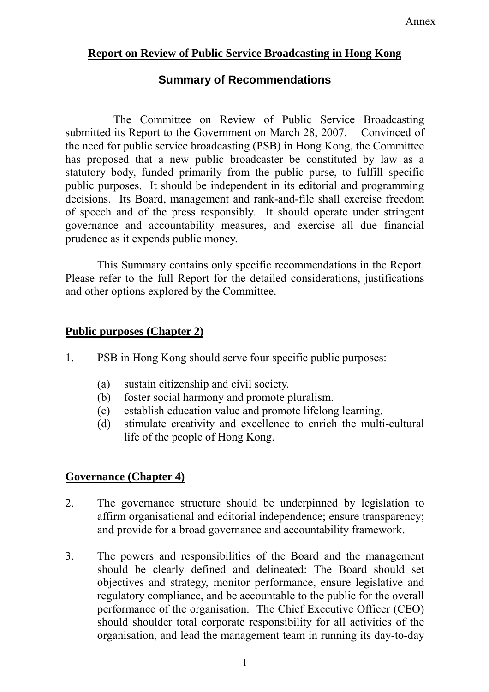# **Report on Review of Public Service Broadcasting in Hong Kong**

# **Summary of Recommendations**

The Committee on Review of Public Service Broadcasting submitted its Report to the Government on March 28, 2007. Convinced of the need for public service broadcasting (PSB) in Hong Kong, the Committee has proposed that a new public broadcaster be constituted by law as a statutory body, funded primarily from the public purse, to fulfill specific public purposes. It should be independent in its editorial and programming decisions. Its Board, management and rank-and-file shall exercise freedom of speech and of the press responsibly. It should operate under stringent governance and accountability measures, and exercise all due financial prudence as it expends public money.

This Summary contains only specific recommendations in the Report. Please refer to the full Report for the detailed considerations, justifications and other options explored by the Committee.

### **Public purposes (Chapter 2)**

- 1. PSB in Hong Kong should serve four specific public purposes:
	- (a) sustain citizenship and civil society.
	- (b) foster social harmony and promote pluralism.
	- (c) establish education value and promote lifelong learning.
	- (d) stimulate creativity and excellence to enrich the multi-cultural life of the people of Hong Kong.

# **Governance (Chapter 4)**

- 2. The governance structure should be underpinned by legislation to affirm organisational and editorial independence; ensure transparency; and provide for a broad governance and accountability framework.
- 3. The powers and responsibilities of the Board and the management should be clearly defined and delineated: The Board should set objectives and strategy, monitor performance, ensure legislative and regulatory compliance, and be accountable to the public for the overall performance of the organisation. The Chief Executive Officer (CEO) should shoulder total corporate responsibility for all activities of the organisation, and lead the management team in running its day-to-day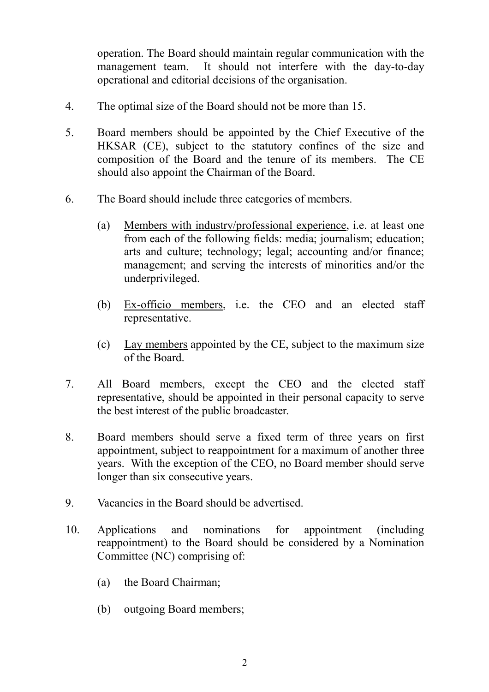operation. The Board should maintain regular communication with the management team. It should not interfere with the day-to-day operational and editorial decisions of the organisation.

- 4. The optimal size of the Board should not be more than 15.
- 5. Board members should be appointed by the Chief Executive of the HKSAR (CE), subject to the statutory confines of the size and composition of the Board and the tenure of its members. The CE should also appoint the Chairman of the Board.
- 6. The Board should include three categories of members.
	- (a) Members with industry/professional experience, i.e. at least one from each of the following fields: media; journalism; education; arts and culture; technology; legal; accounting and/or finance; management; and serving the interests of minorities and/or the underprivileged.
	- (b) Ex-officio members, i.e. the CEO and an elected staff representative.
	- (c) Lay members appointed by the CE, subject to the maximum size of the Board.
- 7. All Board members, except the CEO and the elected staff representative, should be appointed in their personal capacity to serve the best interest of the public broadcaster.
- 8. Board members should serve a fixed term of three years on first appointment, subject to reappointment for a maximum of another three years. With the exception of the CEO, no Board member should serve longer than six consecutive years.
- 9. Vacancies in the Board should be advertised.
- 10. Applications and nominations for appointment (including reappointment) to the Board should be considered by a Nomination Committee (NC) comprising of:
	- (a) the Board Chairman;
	- (b) outgoing Board members;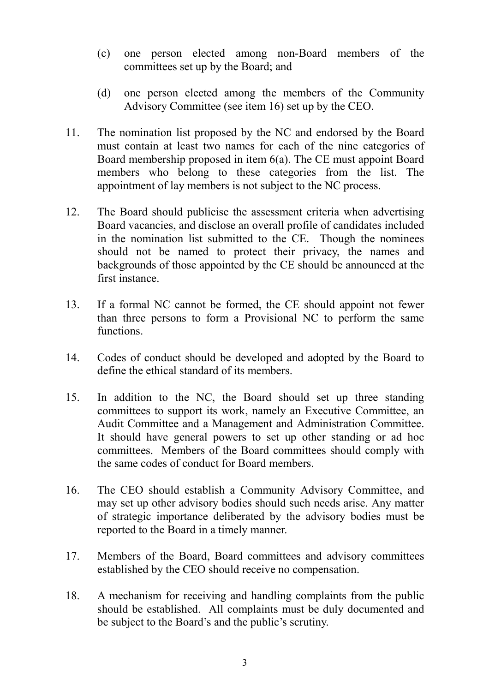- (c) one person elected among non-Board members of the committees set up by the Board; and
- (d) one person elected among the members of the Community Advisory Committee (see item 16) set up by the CEO.
- 11. The nomination list proposed by the NC and endorsed by the Board must contain at least two names for each of the nine categories of Board membership proposed in item 6(a). The CE must appoint Board members who belong to these categories from the list. The appointment of lay members is not subject to the NC process.
- 12. The Board should publicise the assessment criteria when advertising Board vacancies, and disclose an overall profile of candidates included in the nomination list submitted to the CE. Though the nominees should not be named to protect their privacy, the names and backgrounds of those appointed by the CE should be announced at the first instance.
- 13. If a formal NC cannot be formed, the CE should appoint not fewer than three persons to form a Provisional NC to perform the same functions.
- 14. Codes of conduct should be developed and adopted by the Board to define the ethical standard of its members.
- 15. In addition to the NC, the Board should set up three standing committees to support its work, namely an Executive Committee, an Audit Committee and a Management and Administration Committee. It should have general powers to set up other standing or ad hoc committees. Members of the Board committees should comply with the same codes of conduct for Board members.
- 16. The CEO should establish a Community Advisory Committee, and may set up other advisory bodies should such needs arise. Any matter of strategic importance deliberated by the advisory bodies must be reported to the Board in a timely manner.
- 17. Members of the Board, Board committees and advisory committees established by the CEO should receive no compensation.
- 18. A mechanism for receiving and handling complaints from the public should be established. All complaints must be duly documented and be subject to the Board's and the public's scrutiny.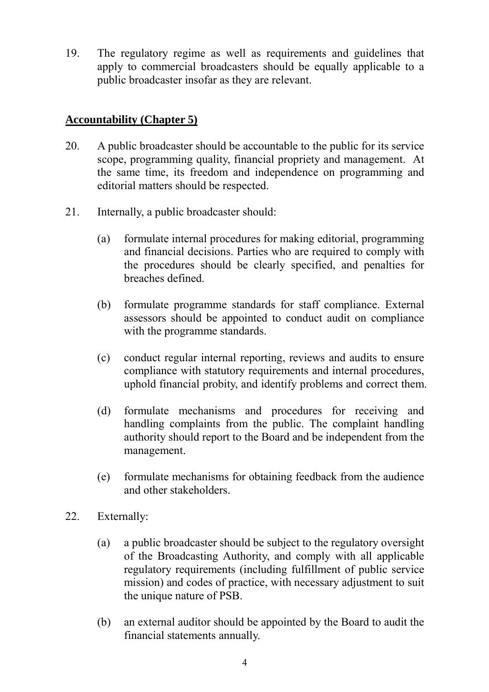19. The regulatory regime as well as requirements and guidelines that apply to commercial broadcasters should be equally applicable to a public broadcaster insofar as they are relevant.

# **Accountability (Chapter 5)**

- 20. A public broadcaster should be accountable to the public for its service scope, programming quality, financial propriety and management. At the same time, its freedom and independence on programming and editorial matters should be respected.
- 21. Internally, a public broadcaster should:
	- (a) formulate internal procedures for making editorial, programming and financial decisions. Parties who are required to comply with the procedures should be clearly specified, and penalties for breaches defined.
	- (b) formulate programme standards for staff compliance. External assessors should be appointed to conduct audit on compliance with the programme standards.
	- (c) conduct regular internal reporting, reviews and audits to ensure compliance with statutory requirements and internal procedures, uphold financial probity, and identify problems and correct them.
	- (d) formulate mechanisms and procedures for receiving and handling complaints from the public. The complaint handling authority should report to the Board and be independent from the management.
	- (e) formulate mechanisms for obtaining feedback from the audience and other stakeholders.
- 22. Externally:
	- (a) a public broadcaster should be subject to the regulatory oversight of the Broadcasting Authority, and comply with all applicable regulatory requirements (including fulfillment of public service mission) and codes of practice, with necessary adjustment to suit the unique nature of PSB.
	- (b) an external auditor should be appointed by the Board to audit the financial statements annually.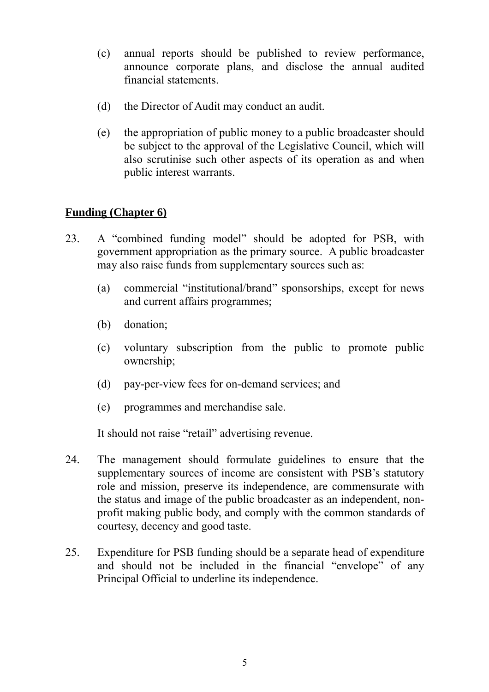- (c) annual reports should be published to review performance, announce corporate plans, and disclose the annual audited financial statements.
- (d) the Director of Audit may conduct an audit.
- (e) the appropriation of public money to a public broadcaster should be subject to the approval of the Legislative Council, which will also scrutinise such other aspects of its operation as and when public interest warrants.

# **Funding (Chapter 6)**

- 23. A "combined funding model" should be adopted for PSB, with government appropriation as the primary source. A public broadcaster may also raise funds from supplementary sources such as:
	- (a) commercial "institutional/brand" sponsorships, except for news and current affairs programmes;
	- (b) donation;
	- (c) voluntary subscription from the public to promote public ownership;
	- (d) pay-per-view fees for on-demand services; and
	- (e) programmes and merchandise sale.

It should not raise "retail" advertising revenue.

- 24. The management should formulate guidelines to ensure that the supplementary sources of income are consistent with PSB's statutory role and mission, preserve its independence, are commensurate with the status and image of the public broadcaster as an independent, nonprofit making public body, and comply with the common standards of courtesy, decency and good taste.
- 25. Expenditure for PSB funding should be a separate head of expenditure and should not be included in the financial "envelope" of any Principal Official to underline its independence.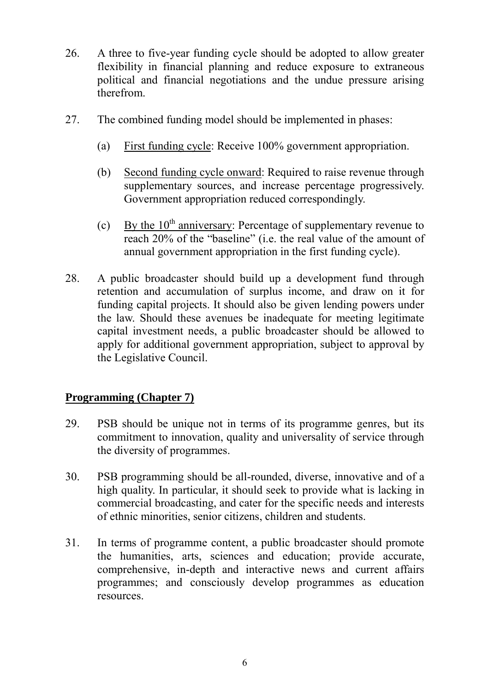- 26. A three to five-year funding cycle should be adopted to allow greater flexibility in financial planning and reduce exposure to extraneous political and financial negotiations and the undue pressure arising therefrom.
- 27. The combined funding model should be implemented in phases:
	- (a) First funding cycle: Receive 100% government appropriation.
	- (b) Second funding cycle onward: Required to raise revenue through supplementary sources, and increase percentage progressively. Government appropriation reduced correspondingly.
	- (c) By the  $10<sup>th</sup>$  anniversary: Percentage of supplementary revenue to reach 20% of the "baseline" (i.e. the real value of the amount of annual government appropriation in the first funding cycle).
- 28. A public broadcaster should build up a development fund through retention and accumulation of surplus income, and draw on it for funding capital projects. It should also be given lending powers under the law. Should these avenues be inadequate for meeting legitimate capital investment needs, a public broadcaster should be allowed to apply for additional government appropriation, subject to approval by the Legislative Council.

# **Programming (Chapter 7)**

- 29. PSB should be unique not in terms of its programme genres, but its commitment to innovation, quality and universality of service through the diversity of programmes.
- 30. PSB programming should be all-rounded, diverse, innovative and of a high quality. In particular, it should seek to provide what is lacking in commercial broadcasting, and cater for the specific needs and interests of ethnic minorities, senior citizens, children and students.
- 31. In terms of programme content, a public broadcaster should promote the humanities, arts, sciences and education; provide accurate, comprehensive, in-depth and interactive news and current affairs programmes; and consciously develop programmes as education resources.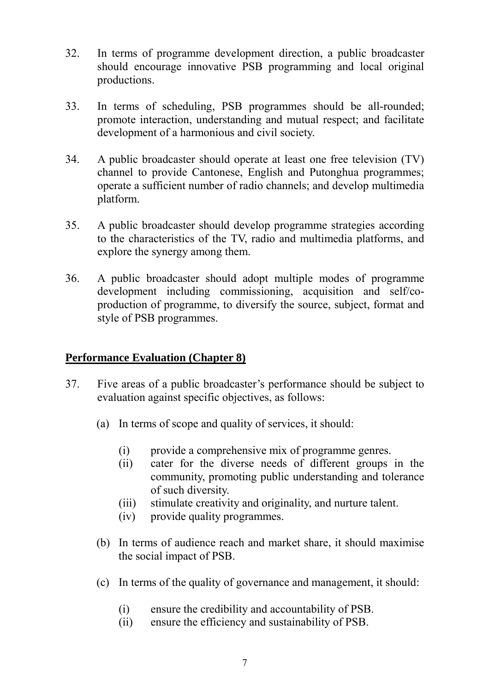- 32. In terms of programme development direction, a public broadcaster should encourage innovative PSB programming and local original productions.
- 33. In terms of scheduling, PSB programmes should be all-rounded; promote interaction, understanding and mutual respect; and facilitate development of a harmonious and civil society.
- 34. A public broadcaster should operate at least one free television (TV) channel to provide Cantonese, English and Putonghua programmes; operate a sufficient number of radio channels; and develop multimedia platform.
- 35. A public broadcaster should develop programme strategies according to the characteristics of the TV, radio and multimedia platforms, and explore the synergy among them.
- 36. A public broadcaster should adopt multiple modes of programme development including commissioning, acquisition and self/coproduction of programme, to diversify the source, subject, format and style of PSB programmes.

# **Performance Evaluation (Chapter 8)**

- 37. Five areas of a public broadcaster's performance should be subject to evaluation against specific objectives, as follows:
	- (a) In terms of scope and quality of services, it should:
		- (i) provide a comprehensive mix of programme genres.
		- (ii) cater for the diverse needs of different groups in the community, promoting public understanding and tolerance of such diversity.
		- (iii) stimulate creativity and originality, and nurture talent.
		- (iv) provide quality programmes.
	- (b) In terms of audience reach and market share, it should maximise the social impact of PSB.
	- (c) In terms of the quality of governance and management, it should:
		- (i) ensure the credibility and accountability of PSB.
		- (ii) ensure the efficiency and sustainability of PSB.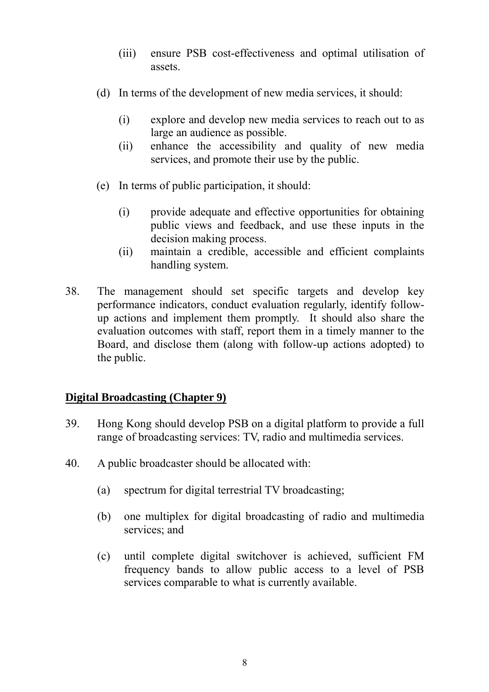- (iii) ensure PSB cost-effectiveness and optimal utilisation of assets.
- (d) In terms of the development of new media services, it should:
	- (i) explore and develop new media services to reach out to as large an audience as possible.
	- (ii) enhance the accessibility and quality of new media services, and promote their use by the public.
- (e) In terms of public participation, it should:
	- (i) provide adequate and effective opportunities for obtaining public views and feedback, and use these inputs in the decision making process.
	- (ii) maintain a credible, accessible and efficient complaints handling system.
- 38. The management should set specific targets and develop key performance indicators, conduct evaluation regularly, identify followup actions and implement them promptly. It should also share the evaluation outcomes with staff, report them in a timely manner to the Board, and disclose them (along with follow-up actions adopted) to the public.

# **Digital Broadcasting (Chapter 9)**

- 39. Hong Kong should develop PSB on a digital platform to provide a full range of broadcasting services: TV, radio and multimedia services.
- 40. A public broadcaster should be allocated with:
	- (a) spectrum for digital terrestrial TV broadcasting;
	- (b) one multiplex for digital broadcasting of radio and multimedia services; and
	- (c) until complete digital switchover is achieved, sufficient FM frequency bands to allow public access to a level of PSB services comparable to what is currently available.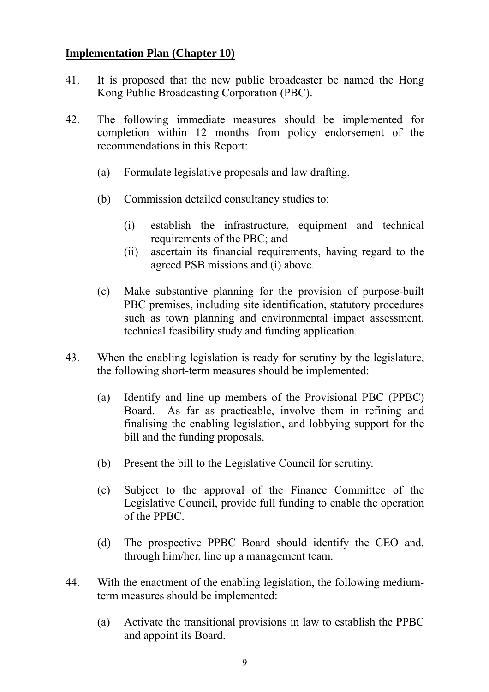### **Implementation Plan (Chapter 10)**

- 41. It is proposed that the new public broadcaster be named the Hong Kong Public Broadcasting Corporation (PBC).
- 42. The following immediate measures should be implemented for completion within 12 months from policy endorsement of the recommendations in this Report:
	- (a) Formulate legislative proposals and law drafting.
	- (b) Commission detailed consultancy studies to:
		- (i) establish the infrastructure, equipment and technical requirements of the PBC; and
		- (ii) ascertain its financial requirements, having regard to the agreed PSB missions and (i) above.
	- (c) Make substantive planning for the provision of purpose-built PBC premises, including site identification, statutory procedures such as town planning and environmental impact assessment, technical feasibility study and funding application.
- 43. When the enabling legislation is ready for scrutiny by the legislature, the following short-term measures should be implemented:
	- (a) Identify and line up members of the Provisional PBC (PPBC) Board. As far as practicable, involve them in refining and finalising the enabling legislation, and lobbying support for the bill and the funding proposals.
	- (b) Present the bill to the Legislative Council for scrutiny.
	- (c) Subject to the approval of the Finance Committee of the Legislative Council, provide full funding to enable the operation of the PPBC.
	- (d) The prospective PPBC Board should identify the CEO and, through him/her, line up a management team.
- 44. With the enactment of the enabling legislation, the following mediumterm measures should be implemented:
	- (a) Activate the transitional provisions in law to establish the PPBC and appoint its Board.